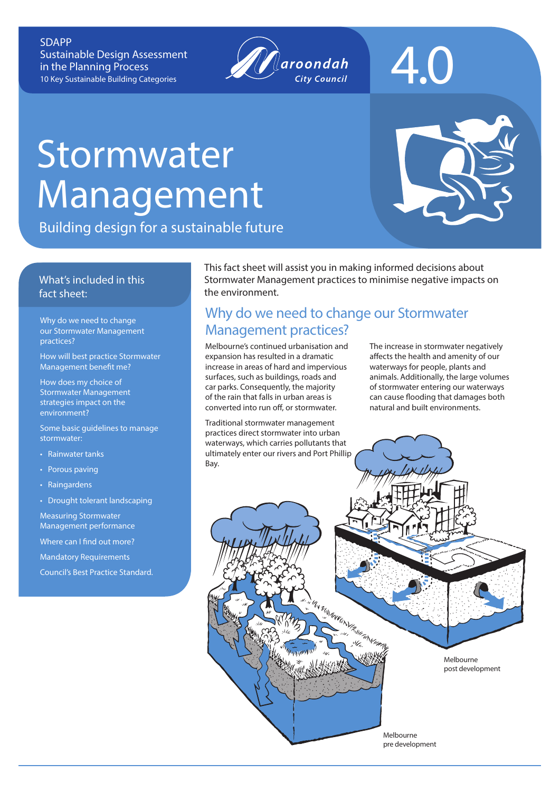SDAPP Sustainable Design Assessment in the Planning Process 10 Key Sustainable Building Categories



# 4.0

## **Stormwater** Management

Building design for a sustainable future

#### What's included in this fact sheet:

our Stormwater Management practices?

How will best practice Stormwater Management benefit me?

How does my choice of Stormwater Management strategies impact on the environment?

Some basic quidelines to manage stormwater:

• Rainwater tanks

- Porous paving
- Raingardens
- Drought tolerant landscaping

Measuring Stormwater Management performance Where can I find out more?

Mandatory Requirements

Council's Best Practice Standard.

This fact sheet will assist you in making informed decisions about Stormwater Management practices to minimise negative impacts on the environment.

#### Why do we need to change our Stormwater Why do we need to change<br>
our Stormwater Management<br>
Management practices?

I'VI WANT AND THE

Melbourne's continued urbanisation and expansion has resulted in a dramatic increase in areas of hard and impervious surfaces, such as buildings, roads and car parks. Consequently, the majority of the rain that falls in urban areas is converted into run off, or stormwater.

Traditional stormwater management practices direct stormwater into urban waterways, which carries pollutants that ultimately enter our rivers and Port Phillip Bay.

The increase in stormwater negatively affects the health and amenity of our waterways for people, plants and animals. Additionally, the large volumes of stormwater entering our waterways can cause flooding that damages both natural and built environments.

> Melbourne post development

Melbourne pre development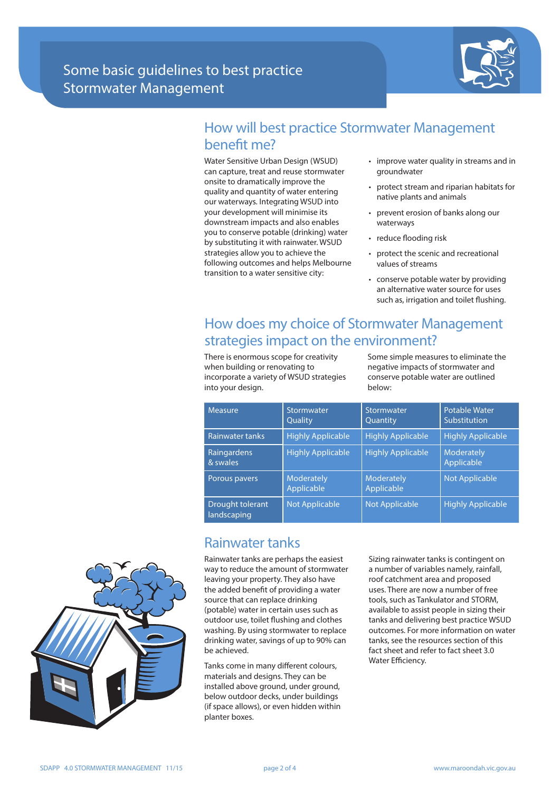

#### How will best practice Stormwater Management benefit me?

Water Sensitive Urban Design (WSUD) can capture, treat and reuse stormwater onsite to dramatically improve the quality and quantity of water entering our waterways. Integrating WSUD into your development will minimise its downstream impacts and also enables you to conserve potable (drinking) water by substituting it with rainwater. WSUD strategies allow you to achieve the following outcomes and helps Melbourne transition to a water sensitive city:

- improve water quality in streams and in groundwater
- protect stream and riparian habitats for native plants and animals
- prevent erosion of banks along our waterways
- reduce flooding risk
- protect the scenic and recreational values of streams
- conserve potable water by providing an alternative water source for uses such as, irrigation and toilet flushing.

## How does my choice of Stormwater Management strategies impact on the environment?

There is enormous scope for creativity when building or renovating to incorporate a variety of WSUD strategies into your design.

Some simple measures to eliminate the negative impacts of stormwater and conserve potable water are outlined below:

| Measure                         | Stormwater<br>Quality           | Stormwater<br>Quantity   | Potable Water<br>Substitution |
|---------------------------------|---------------------------------|--------------------------|-------------------------------|
| Rainwater tanks                 | <b>Highly Applicable</b>        | <b>Highly Applicable</b> | <b>Highly Applicable</b>      |
| Raingardens<br>& swales         | <b>Highly Applicable</b>        | <b>Highly Applicable</b> | Moderately<br>Applicable      |
| Porous pavers                   | <b>Moderately</b><br>Applicable | Moderately<br>Applicable | Not Applicable                |
| Drought tolerant<br>landscaping | <b>Not Applicable</b>           | <b>Not Applicable</b>    | <b>Highly Applicable</b>      |

#### Rainwater tanks

Rainwater tanks are perhaps the easiest way to reduce the amount of stormwater leaving your property. They also have the added benefit of providing a water source that can replace drinking (potable) water in certain uses such as outdoor use, toilet flushing and clothes washing. By using stormwater to replace drinking water, savings of up to 90% can be achieved.

Tanks come in many different colours, materials and designs. They can be installed above ground, under ground, below outdoor decks, under buildings (if space allows), or even hidden within planter boxes.

Sizing rainwater tanks is contingent on a number of variables namely, rainfall, roof catchment area and proposed uses. There are now a number of free tools, such as Tankulator and STORM, available to assist people in sizing their tanks and delivering best practice WSUD outcomes. For more information on water tanks, see the resources section of this fact sheet and refer to fact sheet 3.0 Water Efficiency.

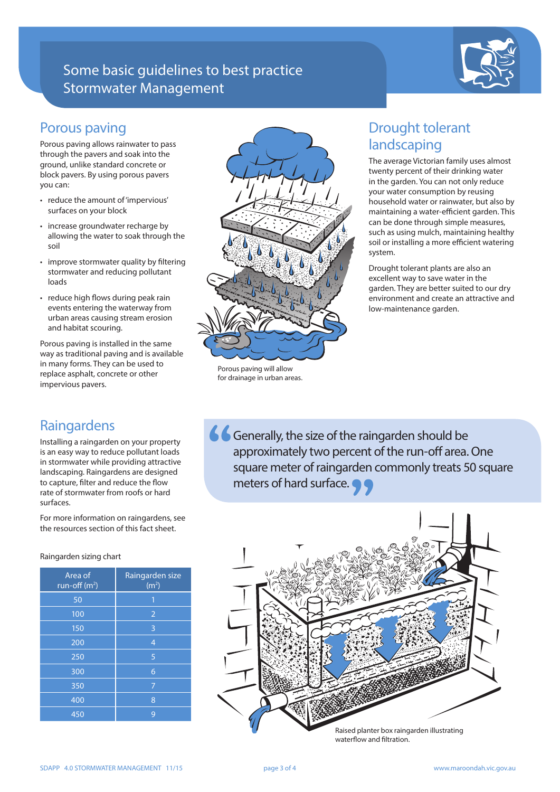## Some basic guidelines to best practice Stormwater Management



#### Porous paving

Porous paving allows rainwater to pass through the pavers and soak into the ground, unlike standard concrete or block pavers. By using porous pavers you can:

- reduce the amount of 'impervious' surfaces on your block
- increase groundwater recharge by allowing the water to soak through the soil
- improve stormwater quality by filtering stormwater and reducing pollutant loads
- reduce high flows during peak rain events entering the waterway from urban areas causing stream erosion and habitat scouring.

Porous paving is installed in the same way as traditional paving and is available in many forms. They can be used to replace asphalt, concrete or other impervious pavers.

### Raingardens

Installing a raingarden on your property is an easy way to reduce pollutant loads in stormwater while providing attractive landscaping. Raingardens are designed to capture, filter and reduce the flow rate of stormwater from roofs or hard surfaces.

For more information on raingardens, see the resources section of this fact sheet.

#### Raingarden sizing chart

| Area of<br>$run-off(m2)$ | Raingarden size<br>(m <sup>2</sup> ) |  |
|--------------------------|--------------------------------------|--|
| 50                       | 1                                    |  |
| 100                      | $\overline{2}$                       |  |
| 150                      | 3                                    |  |
| 200                      | $\overline{4}$                       |  |
| 250                      | 5                                    |  |
| 300                      | 6                                    |  |
| 350                      | 7                                    |  |
| 400                      | 8                                    |  |
| 450                      | 9                                    |  |



Porous paving will allow for drainage in urban areas.

## Drought tolerant landscaping

The average Victorian family uses almost twenty percent of their drinking water in the garden. You can not only reduce your water consumption by reusing household water or rainwater, but also by maintaining a water-efficient garden. This can be done through simple measures, such as using mulch, maintaining healthy soil or installing a more efficient watering system.

Drought tolerant plants are also an excellent way to save water in the garden. They are better suited to our dry environment and create an attractive and low-maintenance garden.

Generally, the size of the raingarden should be approximately two percent of the run-off area. One square meter of raingarden commonly treats 50 square meters of hard surface.